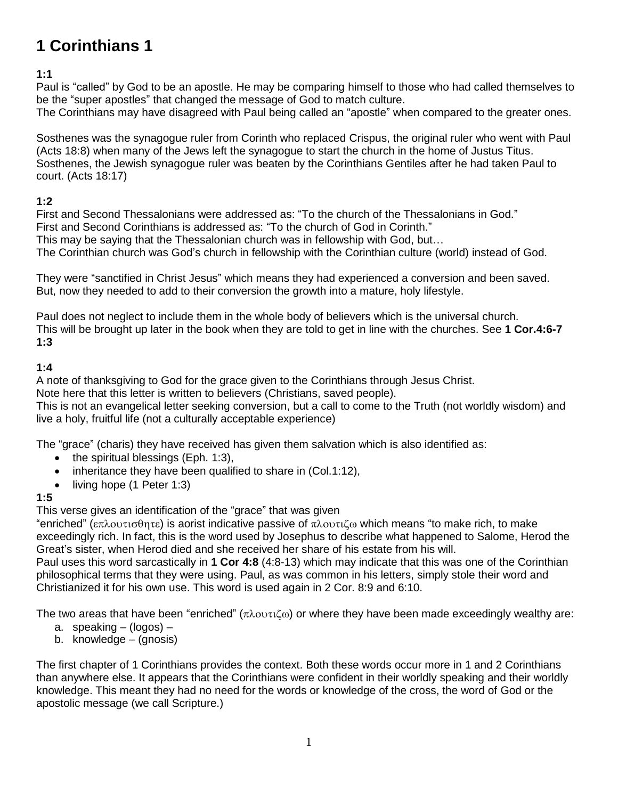# **1 Corinthians 1**

## **1:1**

Paul is "called" by God to be an apostle. He may be comparing himself to those who had called themselves to be the "super apostles" that changed the message of God to match culture.

The Corinthians may have disagreed with Paul being called an "apostle" when compared to the greater ones.

Sosthenes was the synagogue ruler from Corinth who replaced Crispus, the original ruler who went with Paul (Acts 18:8) when many of the Jews left the synagogue to start the church in the home of Justus Titus. Sosthenes, the Jewish synagogue ruler was beaten by the Corinthians Gentiles after he had taken Paul to court. (Acts 18:17)

## **1:2**

First and Second Thessalonians were addressed as: "To the church of the Thessalonians in God." First and Second Corinthians is addressed as: "To the church of God in Corinth." This may be saying that the Thessalonian church was in fellowship with God, but… The Corinthian church was God's church in fellowship with the Corinthian culture (world) instead of God.

They were "sanctified in Christ Jesus" which means they had experienced a conversion and been saved. But, now they needed to add to their conversion the growth into a mature, holy lifestyle.

Paul does not neglect to include them in the whole body of believers which is the universal church. This will be brought up later in the book when they are told to get in line with the churches. See **1 Cor.4:6-7 1:3**

# **1:4**

A note of thanksgiving to God for the grace given to the Corinthians through Jesus Christ.

Note here that this letter is written to believers (Christians, saved people).

This is not an evangelical letter seeking conversion, but a call to come to the Truth (not worldly wisdom) and live a holy, fruitful life (not a culturally acceptable experience)

The "grace" (charis) they have received has given them salvation which is also identified as:

- the spiritual blessings (Eph. 1:3),
- $\bullet$  inheritance they have been qualified to share in (Col.1:12),
- living hope (1 Peter 1:3)

# **1:5**

This verse gives an identification of the "grace" that was given

"enriched" (επλουτισθητε) is aorist indicative passive of πλουτιζω which means "to make rich, to make exceedingly rich. In fact, this is the word used by Josephus to describe what happened to Salome, Herod the Great's sister, when Herod died and she received her share of his estate from his will.

Paul uses this word sarcastically in **1 Cor 4:8** (4:8-13) which may indicate that this was one of the Corinthian philosophical terms that they were using. Paul, as was common in his letters, simply stole their word and Christianized it for his own use. This word is used again in 2 Cor. 8:9 and 6:10.

The two areas that have been "enriched"  $(\pi\lambda o \nu \tau \zeta o)$  or where they have been made exceedingly wealthy are:

- a. speaking  $-$  (logos)  $-$
- b. knowledge (gnosis)

The first chapter of 1 Corinthians provides the context. Both these words occur more in 1 and 2 Corinthians than anywhere else. It appears that the Corinthians were confident in their worldly speaking and their worldly knowledge. This meant they had no need for the words or knowledge of the cross, the word of God or the apostolic message (we call Scripture.)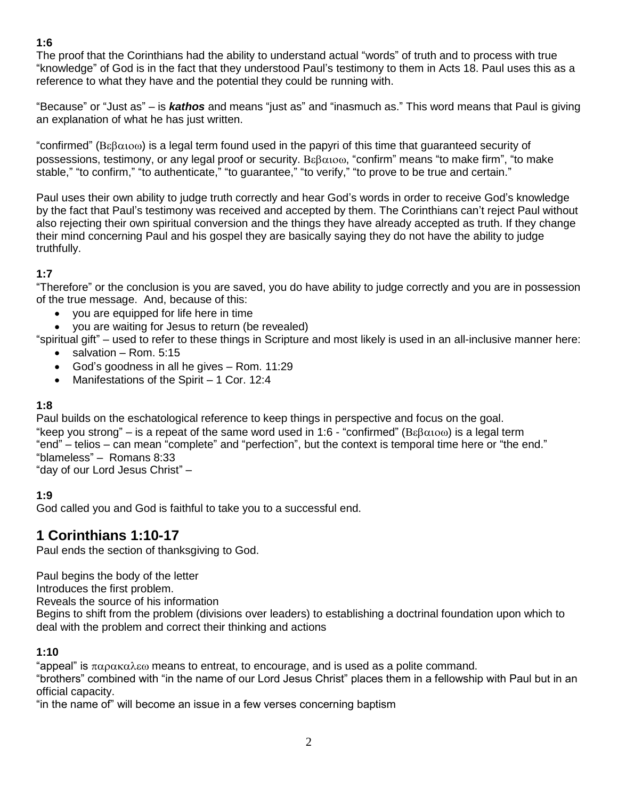## **1:6**

The proof that the Corinthians had the ability to understand actual "words" of truth and to process with true "knowledge" of God is in the fact that they understood Paul's testimony to them in Acts 18. Paul uses this as a reference to what they have and the potential they could be running with.

"Because" or "Just as" – is *kathos* and means "just as" and "inasmuch as." This word means that Paul is giving an explanation of what he has just written.

"confirmed" ( $B\epsilon\beta\alpha\alpha\alpha$ ) is a legal term found used in the papyri of this time that guaranteed security of possessions, testimony, or any legal proof or security.  $B\varepsilon\beta\alpha\alpha\omega$ , "confirm" means "to make firm", "to make stable," "to confirm," "to authenticate," "to guarantee," "to verify," "to prove to be true and certain."

Paul uses their own ability to judge truth correctly and hear God's words in order to receive God's knowledge by the fact that Paul's testimony was received and accepted by them. The Corinthians can't reject Paul without also rejecting their own spiritual conversion and the things they have already accepted as truth. If they change their mind concerning Paul and his gospel they are basically saying they do not have the ability to judge truthfully.

## **1:7**

"Therefore" or the conclusion is you are saved, you do have ability to judge correctly and you are in possession of the true message. And, because of this:

- you are equipped for life here in time
- you are waiting for Jesus to return (be revealed)

"spiritual gift" – used to refer to these things in Scripture and most likely is used in an all-inclusive manner here:

- salvation Rom. 5:15
- God's goodness in all he gives Rom. 11:29
- Manifestations of the Spirit 1 Cor. 12:4

## **1:8**

Paul builds on the eschatological reference to keep things in perspective and focus on the goal. "keep you strong" – is a repeat of the same word used in 1:6 - "confirmed" ( $B\epsilon\beta\alpha\alpha\omega$ ) is a legal term "end" – telios – can mean "complete" and "perfection", but the context is temporal time here or "the end." "blameless" – Romans 8:33 "day of our Lord Jesus Christ" –

## **1:9**

God called you and God is faithful to take you to a successful end.

# **1 Corinthians 1:10-17**

Paul ends the section of thanksgiving to God.

Paul begins the body of the letter

Introduces the first problem.

Reveals the source of his information

Begins to shift from the problem (divisions over leaders) to establishing a doctrinal foundation upon which to deal with the problem and correct their thinking and actions

## **1:10**

"appeal" is  $\pi\alpha\rho\alpha\kappa\alpha\lambda\epsilon\omega$  means to entreat, to encourage, and is used as a polite command. "brothers" combined with "in the name of our Lord Jesus Christ" places them in a fellowship with Paul but in an official capacity.

"in the name of" will become an issue in a few verses concerning baptism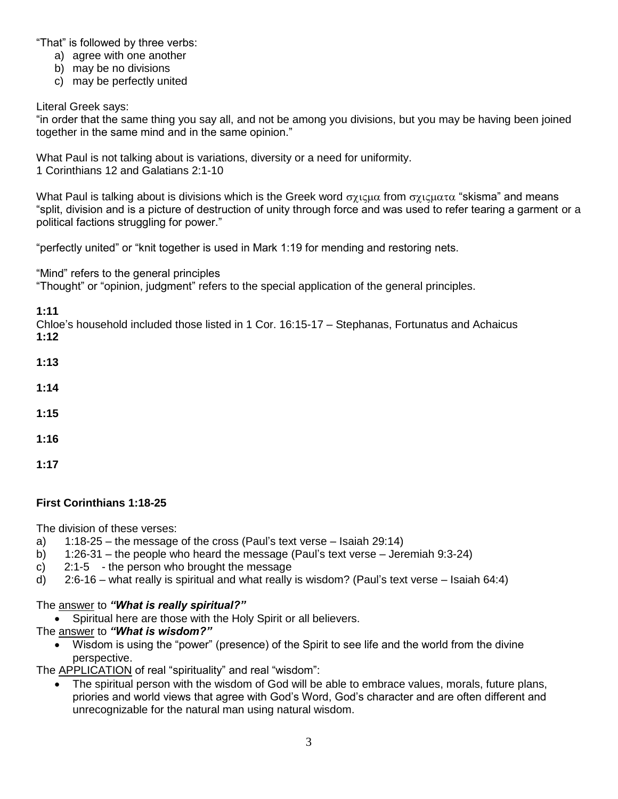"That" is followed by three verbs:

- a) agree with one another
- b) may be no divisions
- c) may be perfectly united

Literal Greek says:

"in order that the same thing you say all, and not be among you divisions, but you may be having been joined together in the same mind and in the same opinion."

What Paul is not talking about is variations, diversity or a need for uniformity. 1 Corinthians 12 and Galatians 2:1-10

What Paul is talking about is divisions which is the Greek word  $\sigma\chi_1\varsigma\mu\alpha$  from  $\sigma\chi_1\varsigma\mu\alpha\tau\alpha$  "skisma" and means "split, division and is a picture of destruction of unity through force and was used to refer tearing a garment or a political factions struggling for power."

"perfectly united" or "knit together is used in Mark 1:19 for mending and restoring nets.

"Mind" refers to the general principles

"Thought" or "opinion, judgment" refers to the special application of the general principles.

**1:11**

Chloe's household included those listed in 1 Cor. 16:15-17 – Stephanas, Fortunatus and Achaicus **1:12**

- **1:13**
- 
- **1:14**
- **1:15**
- **1:16**
- **1:17**

## **First Corinthians 1:18-25**

The division of these verses:

- a) 1:18-25 the message of the cross (Paul's text verse Isaiah 29:14)
- b) 1:26-31 the people who heard the message (Paul's text verse Jeremiah 9:3-24)
- c) 2:1-5 the person who brought the message
- d) 2:6-16 what really is spiritual and what really is wisdom? (Paul's text verse Isaiah 64:4)

## The answer to *"What is really spiritual?"*

Spiritual here are those with the Holy Spirit or all believers.

The answer to *"What is wisdom?"*

 Wisdom is using the "power" (presence) of the Spirit to see life and the world from the divine perspective.

The APPLICATION of real "spirituality" and real "wisdom":

 The spiritual person with the wisdom of God will be able to embrace values, morals, future plans, priories and world views that agree with God's Word, God's character and are often different and unrecognizable for the natural man using natural wisdom.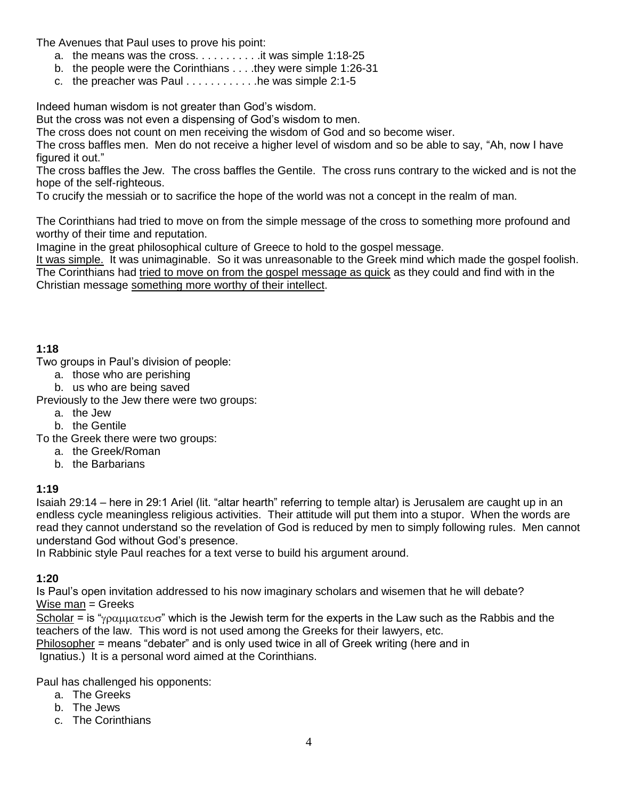The Avenues that Paul uses to prove his point:

- a. the means was the cross.  $\dots \dots \dots$  it was simple 1:18-25
- b. the people were the Corinthians . . . .they were simple 1:26-31
- c. the preacher was Paul  $\dots \dots \dots$  he was simple 2:1-5

Indeed human wisdom is not greater than God's wisdom.

But the cross was not even a dispensing of God's wisdom to men.

The cross does not count on men receiving the wisdom of God and so become wiser.

The cross baffles men. Men do not receive a higher level of wisdom and so be able to say, "Ah, now I have figured it out."

The cross baffles the Jew. The cross baffles the Gentile. The cross runs contrary to the wicked and is not the hope of the self-righteous.

To crucify the messiah or to sacrifice the hope of the world was not a concept in the realm of man.

The Corinthians had tried to move on from the simple message of the cross to something more profound and worthy of their time and reputation.

Imagine in the great philosophical culture of Greece to hold to the gospel message.

It was simple. It was unimaginable. So it was unreasonable to the Greek mind which made the gospel foolish. The Corinthians had tried to move on from the gospel message as quick as they could and find with in the Christian message something more worthy of their intellect.

## **1:18**

Two groups in Paul's division of people:

- a. those who are perishing
- b. us who are being saved

Previously to the Jew there were two groups:

- a. the Jew
- b. the Gentile

To the Greek there were two groups:

- a. the Greek/Roman
- b. the Barbarians

## **1:19**

Isaiah 29:14 – here in 29:1 Ariel (lit. "altar hearth" referring to temple altar) is Jerusalem are caught up in an endless cycle meaningless religious activities. Their attitude will put them into a stupor. When the words are read they cannot understand so the revelation of God is reduced by men to simply following rules. Men cannot understand God without God's presence.

In Rabbinic style Paul reaches for a text verse to build his argument around.

## **1:20**

Is Paul's open invitation addressed to his now imaginary scholars and wisemen that he will debate? Wise man = Greeks

Scholar = is " $\gamma \rho \alpha \mu \mu \alpha \tau \epsilon$  which is the Jewish term for the experts in the Law such as the Rabbis and the teachers of the law. This word is not used among the Greeks for their lawyers, etc.

Philosopher = means "debater" and is only used twice in all of Greek writing (here and in Ignatius.) It is a personal word aimed at the Corinthians.

Paul has challenged his opponents:

- a. The Greeks
- b. The Jews
- c. The Corinthians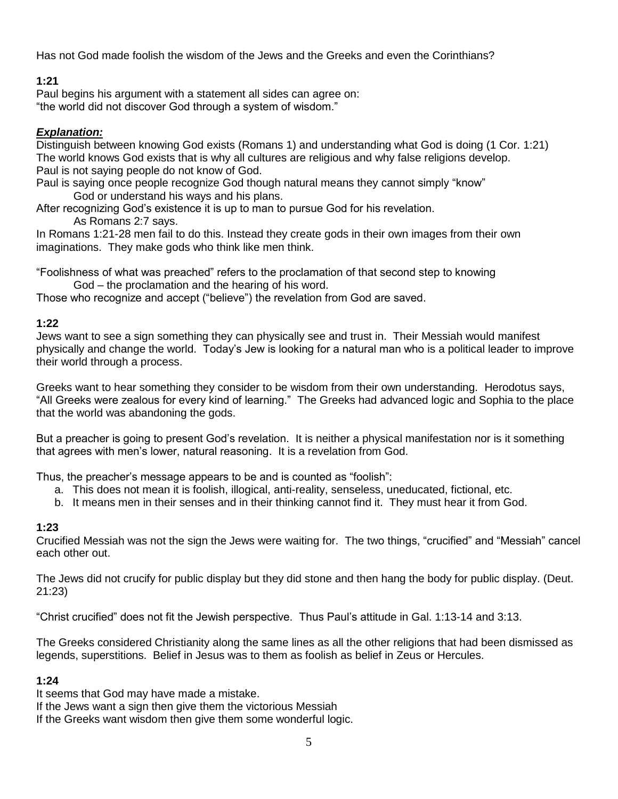Has not God made foolish the wisdom of the Jews and the Greeks and even the Corinthians?

## **1:21**

Paul begins his argument with a statement all sides can agree on: "the world did not discover God through a system of wisdom."

#### *Explanation:*

Distinguish between knowing God exists (Romans 1) and understanding what God is doing (1 Cor. 1:21) The world knows God exists that is why all cultures are religious and why false religions develop. Paul is not saying people do not know of God.

Paul is saying once people recognize God though natural means they cannot simply "know" God or understand his ways and his plans.

After recognizing God's existence it is up to man to pursue God for his revelation.

As Romans 2:7 says.

In Romans 1:21-28 men fail to do this. Instead they create gods in their own images from their own imaginations. They make gods who think like men think.

"Foolishness of what was preached" refers to the proclamation of that second step to knowing God – the proclamation and the hearing of his word.

Those who recognize and accept ("believe") the revelation from God are saved.

#### **1:22**

Jews want to see a sign something they can physically see and trust in. Their Messiah would manifest physically and change the world. Today's Jew is looking for a natural man who is a political leader to improve their world through a process.

Greeks want to hear something they consider to be wisdom from their own understanding. Herodotus says, "All Greeks were zealous for every kind of learning." The Greeks had advanced logic and Sophia to the place that the world was abandoning the gods.

But a preacher is going to present God's revelation. It is neither a physical manifestation nor is it something that agrees with men's lower, natural reasoning. It is a revelation from God.

Thus, the preacher's message appears to be and is counted as "foolish":

- a. This does not mean it is foolish, illogical, anti-reality, senseless, uneducated, fictional, etc.
- b. It means men in their senses and in their thinking cannot find it. They must hear it from God.

## **1:23**

Crucified Messiah was not the sign the Jews were waiting for. The two things, "crucified" and "Messiah" cancel each other out.

The Jews did not crucify for public display but they did stone and then hang the body for public display. (Deut. 21:23)

"Christ crucified" does not fit the Jewish perspective. Thus Paul's attitude in Gal. 1:13-14 and 3:13.

The Greeks considered Christianity along the same lines as all the other religions that had been dismissed as legends, superstitions. Belief in Jesus was to them as foolish as belief in Zeus or Hercules.

#### **1:24**

It seems that God may have made a mistake.

If the Jews want a sign then give them the victorious Messiah

If the Greeks want wisdom then give them some wonderful logic.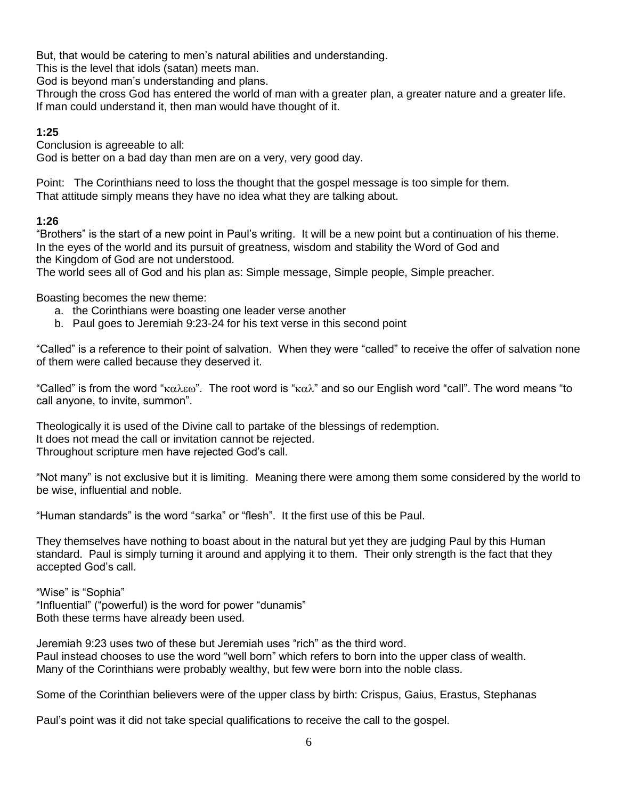But, that would be catering to men's natural abilities and understanding.

This is the level that idols (satan) meets man.

God is beyond man's understanding and plans.

Through the cross God has entered the world of man with a greater plan, a greater nature and a greater life. If man could understand it, then man would have thought of it.

#### **1:25**

Conclusion is agreeable to all: God is better on a bad day than men are on a very, very good day.

Point: The Corinthians need to loss the thought that the gospel message is too simple for them. That attitude simply means they have no idea what they are talking about.

#### **1:26**

"Brothers" is the start of a new point in Paul's writing. It will be a new point but a continuation of his theme. In the eyes of the world and its pursuit of greatness, wisdom and stability the Word of God and the Kingdom of God are not understood.

The world sees all of God and his plan as: Simple message, Simple people, Simple preacher.

Boasting becomes the new theme:

- a. the Corinthians were boasting one leader verse another
- b. Paul goes to Jeremiah 9:23-24 for his text verse in this second point

"Called" is a reference to their point of salvation. When they were "called" to receive the offer of salvation none of them were called because they deserved it.

"Called" is from the word " $\kappa\alpha\lambda\epsilon\omega$ ". The root word is " $\kappa\alpha\lambda$ " and so our English word "call". The word means "to call anyone, to invite, summon".

Theologically it is used of the Divine call to partake of the blessings of redemption. It does not mead the call or invitation cannot be rejected. Throughout scripture men have rejected God's call.

"Not many" is not exclusive but it is limiting. Meaning there were among them some considered by the world to be wise, influential and noble.

"Human standards" is the word "sarka" or "flesh". It the first use of this be Paul.

They themselves have nothing to boast about in the natural but yet they are judging Paul by this Human standard. Paul is simply turning it around and applying it to them. Their only strength is the fact that they accepted God's call.

"Wise" is "Sophia" "Influential" ("powerful) is the word for power "dunamis" Both these terms have already been used.

Jeremiah 9:23 uses two of these but Jeremiah uses "rich" as the third word. Paul instead chooses to use the word "well born" which refers to born into the upper class of wealth. Many of the Corinthians were probably wealthy, but few were born into the noble class.

Some of the Corinthian believers were of the upper class by birth: Crispus, Gaius, Erastus, Stephanas

Paul's point was it did not take special qualifications to receive the call to the gospel.